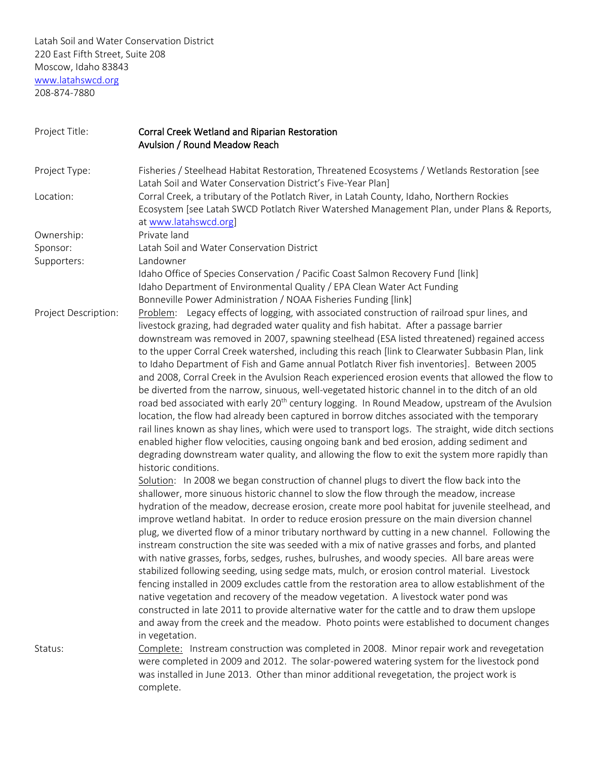Latah Soil and Water Conservation District 220 East Fifth Street, Suite 208 Moscow, Idaho 83843 [www.latahswcd.org](http://www.latahswcd.org/) 208-874-7880

| Project Title:       | Corral Creek Wetland and Riparian Restoration<br>Avulsion / Round Meadow Reach                                                                                                                                                                                                                      |
|----------------------|-----------------------------------------------------------------------------------------------------------------------------------------------------------------------------------------------------------------------------------------------------------------------------------------------------|
| Project Type:        | Fisheries / Steelhead Habitat Restoration, Threatened Ecosystems / Wetlands Restoration [see<br>Latah Soil and Water Conservation District's Five-Year Plan]                                                                                                                                        |
| Location:            | Corral Creek, a tributary of the Potlatch River, in Latah County, Idaho, Northern Rockies<br>Ecosystem [see Latah SWCD Potlatch River Watershed Management Plan, under Plans & Reports,<br>at www.latahswcd.org]                                                                                    |
| Ownership:           | Private land                                                                                                                                                                                                                                                                                        |
| Sponsor:             | Latah Soil and Water Conservation District                                                                                                                                                                                                                                                          |
| Supporters:          | Landowner                                                                                                                                                                                                                                                                                           |
|                      | Idaho Office of Species Conservation / Pacific Coast Salmon Recovery Fund [link]                                                                                                                                                                                                                    |
|                      | Idaho Department of Environmental Quality / EPA Clean Water Act Funding                                                                                                                                                                                                                             |
|                      | Bonneville Power Administration / NOAA Fisheries Funding [link]                                                                                                                                                                                                                                     |
| Project Description: | Problem: Legacy effects of logging, with associated construction of railroad spur lines, and<br>livestock grazing, had degraded water quality and fish habitat. After a passage barrier<br>downstream was removed in 2007, spawning steelhead (ESA listed threatened) regained access               |
|                      | to the upper Corral Creek watershed, including this reach [link to Clearwater Subbasin Plan, link<br>to Idaho Department of Fish and Game annual Potlatch River fish inventories]. Between 2005<br>and 2008, Corral Creek in the Avulsion Reach experienced erosion events that allowed the flow to |
|                      | be diverted from the narrow, sinuous, well-vegetated historic channel in to the ditch of an old<br>road bed associated with early 20 <sup>th</sup> century logging. In Round Meadow, upstream of the Avulsion                                                                                       |
|                      | location, the flow had already been captured in borrow ditches associated with the temporary<br>rail lines known as shay lines, which were used to transport logs. The straight, wide ditch sections<br>enabled higher flow velocities, causing ongoing bank and bed erosion, adding sediment and   |
|                      | degrading downstream water quality, and allowing the flow to exit the system more rapidly than<br>historic conditions.                                                                                                                                                                              |
|                      | Solution: In 2008 we began construction of channel plugs to divert the flow back into the<br>shallower, more sinuous historic channel to slow the flow through the meadow, increase                                                                                                                 |
|                      | hydration of the meadow, decrease erosion, create more pool habitat for juvenile steelhead, and<br>improve wetland habitat. In order to reduce erosion pressure on the main diversion channel                                                                                                       |
|                      | plug, we diverted flow of a minor tributary northward by cutting in a new channel. Following the<br>instream construction the site was seeded with a mix of native grasses and forbs, and planted                                                                                                   |
|                      | with native grasses, forbs, sedges, rushes, bulrushes, and woody species. All bare areas were<br>stabilized following seeding, using sedge mats, mulch, or erosion control material. Livestock                                                                                                      |
|                      | fencing installed in 2009 excludes cattle from the restoration area to allow establishment of the<br>native vegetation and recovery of the meadow vegetation. A livestock water pond was                                                                                                            |
|                      | constructed in late 2011 to provide alternative water for the cattle and to draw them upslope<br>and away from the creek and the meadow. Photo points were established to document changes                                                                                                          |
|                      | in vegetation.                                                                                                                                                                                                                                                                                      |
| Status:              | Complete: Instream construction was completed in 2008. Minor repair work and revegetation<br>were completed in 2009 and 2012. The solar-powered watering system for the livestock pond                                                                                                              |
|                      | was installed in June 2013. Other than minor additional revegetation, the project work is<br>complete.                                                                                                                                                                                              |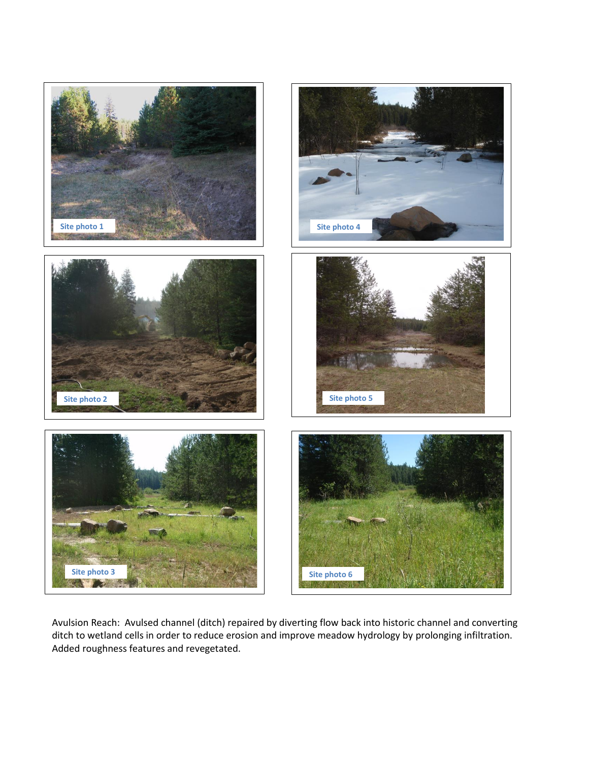

Avulsion Reach: Avulsed channel (ditch) repaired by diverting flow back into historic channel and converting ditch to wetland cells in order to reduce erosion and improve meadow hydrology by prolonging infiltration. Added roughness features and revegetated.